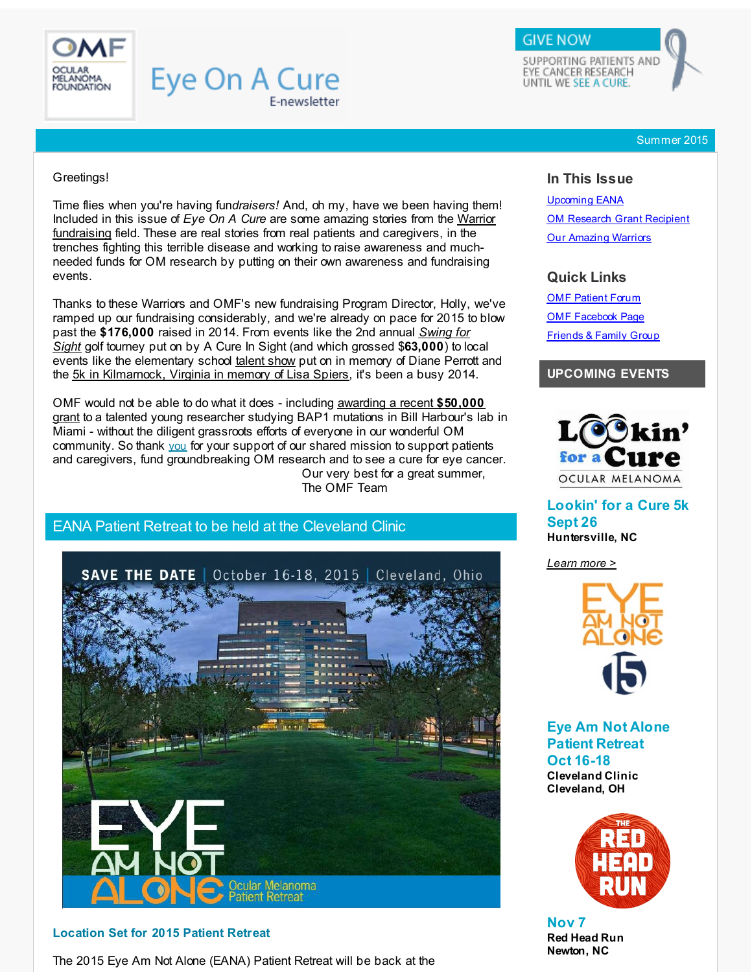<span id="page-0-0"></span>

# **Eye On A Cure** E-newsletter

SUPPORTING PATIENTS AND EYE CANCER RESEARCH UNTIL WE SEE A CURE.

**GIVE NOW** 

Summer 2015

#### Greetings!

Time flies when you're having fun*draisers!* And, oh my, have we been having them! Included in this issue of *Eye On A Cure* are some amazing stories from the Warrior fundraising field. These are real stories from real patients and [caregivers,](http://r20.rs6.net/tn.jsp?f=001qaNIAcOmnuK-n8u8fkI5cCpYQC__3Pbw-c4Q-lecow6ewdlphLLwiObMD8Jg6ppGeUJjBg8E1IX6cY0YPsDcY1skBi3wKd33MZ-ZUhHv2a7CW5vz1T1VW38jm4Mufk28daShFGGH-pUO6DgOPqS3ahwAc8BYQnGr3vgF_MUr3uGzEcCCe-Oz2QZRTJiky7NcANCDqETORsWixbbKEhJlQBMmZndcZAGyvexLl4mfGvGkW5Bt8PYJ0PkN8ItyKmeHgzX3qeaAzjQJ48rRklv1ToUlVFAkGvJ0yVIyiVQNaqIv-TIsuW_Jp0NzPPioiHml9oN9fF_NaKDVPhzXbW2FavOorpI5uzFLqspZqsivLqBdn0P9GNtyHw==&c=&ch=) in the trenches fighting this terrible disease and working to raise awareness and muchneeded funds for OM research by putting on their own awareness and fundraising events.

Thanks to these Warriors and OMF's new fundraising Program Director, Holly, we've ramped up our fundraising considerably, and we're already on pace for 2015 to blow past the **[\\$176,000](#page-2-0)** raised in 2014. From events like the 2nd annual *Swing for Sight* golf tourney put on by A Cure In Sight (and which grossed \$**63,000**) to local events like the elementary school [talent](#page-3-0) show put on in memory of Diane Perrott and the 5k in [Kilmarnock,](#page-1-0) Virginia in memory of Lisa Spiers, it's been a busy 2014.

OMF would not be able to do what it does - including awarding a recent \$50,000 grant to a talented young [researcher](#page-1-1) studying BAP1 mutations in Bill Harbour's lab in Miami - without the diligent grassroots efforts of everyone in our wonderful OM community. So thank you for your support of our shared mission to support patients and caregivers, fund groundbreaking OM research and to see a cure for eye cancer. Our very best for a great summer, The OMF Team

## EANA Patient Retreat to be held at the Cleveland Clinic



#### **Location Set for 2015 Patient Retreat**

The 2015 Eye Am Not Alone (EANA) Patient Retreat will be back at the

#### **In This Issue**

[Upcoming](#page-0-0) EANA OM Research Grant [Recipient](#page-0-0) Our [Amazing](#page-0-0) Warriors

### **Quick Links**

**OMF [Patient](http://r20.rs6.net/tn.jsp?f=001qaNIAcOmnuK-n8u8fkI5cCpYQC__3Pbw-c4Q-lecow6ewdlphLLwiDW1yEZdoV5NxA4tXxMRoyr7qeb4CtkOXzLagb16LbCvIQO1o9v2TjNtdvQwPVf-cpwXu4aBpH6XTycpW4h-SBg8Djcpmg1x9m7AlmS5ybfpflms10dJ3m-bvAd0lIWliXw5DnsHIcjLh98x1ijpJpEtvB9b3QUN_XdCaXz-EwOzIZS0MJVuP9GsXedEHJdIi7OmPLqV2_Ub-1SWyzyK5IuKUd45fOD9iU1DcVG1JeB3NGrwXW_GnHGBa8OACO9x5lMP3OVGsD4YwgRaGbw3PLQASA_ayB4YEVMPhWok4oQx&c=&ch=) Forum** OMF [Facebook](http://r20.rs6.net/tn.jsp?f=001qaNIAcOmnuK-n8u8fkI5cCpYQC__3Pbw-c4Q-lecow6ewdlphLLwiObMD8Jg6ppG-q1MSCiJyaHQSYTpdzYgKGy8MXjYGyvLq_V_XHvjxzGkuKJXOEXu9ROJ9Xn9UX6hJd75TvzCYY1BQk3Ut4q7ysu5n5d9Mk5PSyh7a0pephGM0BRp9VQi0khravGyLpu3&c=&ch=) Page [Friends](http://r20.rs6.net/tn.jsp?f=001qaNIAcOmnuK-n8u8fkI5cCpYQC__3Pbw-c4Q-lecow6ewdlphLLwiAjmjtsIG9AoWz_ubruNfC2tBesPjxThhJukGCW0dAGH8Tjd31IaI75vGR2evW96y-47V1wV5rf9m0eK_4OQN4jFwgQ0bu-gFcGyQVbeekaZ9SJIItKp4VyCaA6KL9rbSdlReTeaUH29Oy947-jFX-A=&c=&ch=) & Family Group

### **UPCOMING EVENTS**



**Lookin' for a Cure 5k Sept 26 Huntersville, NC**

*[Learn](http://r20.rs6.net/tn.jsp?f=001qaNIAcOmnuK-n8u8fkI5cCpYQC__3Pbw-c4Q-lecow6ewdlphLLwiPSVLFZD5PvavS7vAQTgqTDjV2wxgVpAw6HLBHpf35hlAbGs3ha0F4twHlZatKple6FuG549-nPopWrQc_8YDrQsGiCHV2iebGkY6d74R9NT4G3JD_k05OMpljAVe_yAnj2l_ho1dkk-g_LLse5matftRojdOO2bwyG4Bc-_THttAuwPh0MKPEVv1TYbd9AOyCtlTB6bebPKyfTuoC4pEBkcB6N2ghUGDfHnmMSbbz44AYv5v89ZPBddYhQQnUK_zF82ijPgZA3citFD1B5cTi90EMmJT8nZwnvS-WUwUpZ1&c=&ch=) more >*



**Eye Am Not Alone Patient Retreat Oct 16-18 Cleveland Clinic Cleveland, OH**



**Nov 7 Red Head Run Newton, NC**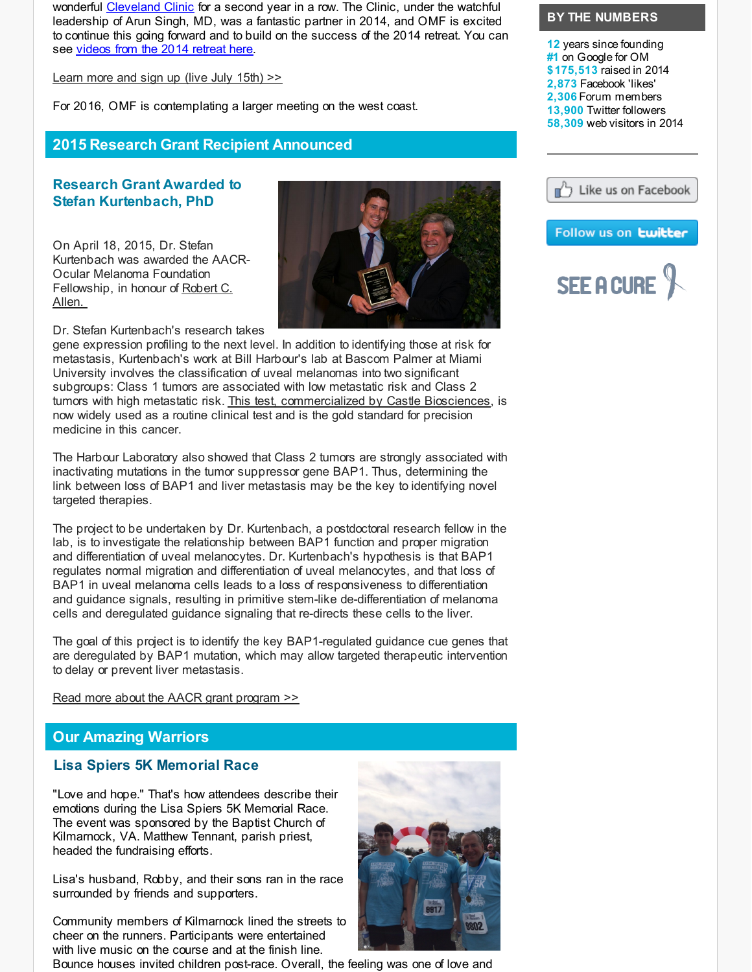wonderful [Cleveland](http://r20.rs6.net/tn.jsp?f=001qaNIAcOmnuK-n8u8fkI5cCpYQC__3Pbw-c4Q-lecow6ewdlphLLwiDNh8Kk7Fl-k15NdQU2DoAsG_coi9r7Lad8Y3rFSZqzOHukS9BWzWnSYFtMX5gvuMe5uVT1CMAkUENYAwyz_cU8u5kbbiDfkpjLqtcHjxJPYO4X29LzD2rUZKPxs3aItsArB5BWt-JZsOW1QrZfdSpcBeMyepL-fYoDUQNhSzBxIDBylWqvVD5GHQUbA8eOKOMQCMCGdiJp-dfiezWJ8-8z0HRXr2eKpYihOVbkPfucdAfzjLkKdtM6-4XdxBItTpTQ0to-04RUSUYv1iUfjyPLSghOdO5JdU1EW5xN7edBJZcVYsXUsZo0khQU2MLxYtg==&c=&ch=) Clinic for a second year in a row. The Clinic, under the watchful leadership of Arun Singh, MD, was a fantastic partner in 2014, and OMF is excited to continue this going forward and to build on the success of the 2014 retreat. You can see [videos](http://r20.rs6.net/tn.jsp?f=001qaNIAcOmnuK-n8u8fkI5cCpYQC__3Pbw-c4Q-lecow6ewdlphLLwiCW0p65kRwVuoYwW2Tod2zUzbMi-hsSnBEAee3Lz9-alx_cZkA-04yL21ra2UIuwywO4LLFXqxdtb0Mv1_STUjzT6Eb0MA2_TpMzEhcUH8tLZLkUYMO__ugI2hD4AyIH_e3VfPWE5PSSgGgM6Dxg4g23YZ53LpW1dpNIDNdjE3KOdjpVTW8eCkFWL0MiIOwW6w==&c=&ch=) from the 2014 retreat here.

[Learn](http://r20.rs6.net/tn.jsp?f=001qaNIAcOmnuK-n8u8fkI5cCpYQC__3Pbw-c4Q-lecow6ewdlphLLwiDRdgcX92nrxKUZC4Hr0zXabRH7npTuZU9_43p9VkXlct9svKFaljDeU1iCY376lsVcGTsx0Sjsd-xcksLn2rM3mpbof0tJmQfV2Lu-Af0IstQmf9utW7Mj4lx15DRWWD1vjazllRVEppmiJ4A8KDaUkhEOKRiTdkqQMD8Y6fqVBtoJ8kt42WeH81uAwKrGe_6YweiwMPsBSBB6lB8Q0Iup5-LFaZrOxpuEecxPyTxZmThSbWxeShW8aLr8I8P2MSBXVLTbyiQSw6_THEju55vnSofqL0F5cAtZmUgL7uESxBOu2utE_ia0=&c=&ch=) more and sign up (live July 15th) >>

For 2016, OMF is contemplating a larger meeting on the west coast.

## **2015 Research Grant Recipient Announced**

## **Research Grant Awarded to Stefan Kurtenbach, PhD**

<span id="page-1-1"></span>On April 18, 2015, Dr. Stefan Kurtenbach was awarded the AACR-Ocular Melanoma Foundation [Fellowship,](http://r20.rs6.net/tn.jsp?f=001qaNIAcOmnuK-n8u8fkI5cCpYQC__3Pbw-c4Q-lecow6ewdlphLLwiPSVLFZD5PvaWTBUgnRQEdtpLR5IDnA0iHTIbwThV39hVlsRbAbOO9AZAYBBGDYIZYUkXkLgF4WeB2khDX-0TIOu7tyhYqWRWPN6s7T4CAD81SYLqM9Ay_pjDHVvBU6cJ7j_nCcCFPccCPK0-9LZ8WEfR4DgDWDElrfKKKJGEOAD1fSDEZtL65sLvlEhwsjZFQ9Lf-xHQq-eNhI9BgfJ9gnjt1apH6Z-t0zNSKU5HpCjayEoUD2Uf1GlXRPsxjqZ25obA43rEUVvwTgxPlK4shE3kAwnfcFvf0a-uy0mpFAxquT3jPYgcWt7le02kChgyQ==&c=&ch=) in honour of Robert C. Allen.

Dr. Stefan Kurtenbach's research takes

gene expression profiling to the next level. In addition to identifying those at risk for metastasis, Kurtenbach's work at Bill Harbour's lab at Bascom Palmer at Miami University involves the classification of uveal melanomas into two significant subgroups: Class 1 tumors are associated with low metastatic risk and Class 2 tumors with high metastatic risk. This test, [commercialized](http://r20.rs6.net/tn.jsp?f=001qaNIAcOmnuK-n8u8fkI5cCpYQC__3Pbw-c4Q-lecow6ewdlphLLwiCW0p65kRwVu7cT6Cp4GvKqAjN9N0SwNwS34Hp-dDuQh1KeoEgmFk5kb2GSI65_X5_cKIz287fc7qg17nRmD5x8N2UxqmoSdk11RB2mhdZA9OgdMYiaCOG99_DIDhvvC6_POGHkuU0x6L_bS2NZpCemFhTKDIg8Blo7PrKFgLx9Wd8blEprMZ9ouswdIQq_LaamEaTgWt83mn2fy-7RFpn5U13tMNk7L4SN66BYTk4O5ADbatv_ZLVd4NNtI9uCJpcT0G1wJ4csDDzwYMlq7FHjANl2AFc-fURGS30gBqxVC&c=&ch=) by Castle Biosciences, is now widely used as a routine clinical test and is the gold standard for precision medicine in this cancer.

The Harbour Laboratory also showed that Class 2 tumors are strongly associated with inactivating mutations in the tumor suppressor gene BAP1. Thus, determining the link between loss of BAP1 and liver metastasis may be the key to identifying novel targeted therapies.

The project to be undertaken by Dr. Kurtenbach, a postdoctoral research fellow in the lab, is to investigate the relationship between BAP1 function and proper migration and differentiation of uveal melanocytes. Dr. Kurtenbach's hypothesis is that BAP1 regulates normal migration and differentiation of uveal melanocytes, and that loss of BAP1 in uveal melanoma cells leads to a loss of responsiveness to differentiation and guidance signals, resulting in primitive stem-like de-differentiation of melanoma cells and deregulated guidance signaling that re-directs these cells to the liver.

The goal of this project is to identify the key BAP1-regulated guidance cue genes that are deregulated by BAP1 mutation, which may allow targeted therapeutic intervention to delay or prevent liver metastasis.

Read more about the AACR grant [program](http://r20.rs6.net/tn.jsp?f=001qaNIAcOmnuK-n8u8fkI5cCpYQC__3Pbw-c4Q-lecow6ewdlphLLwiPSVLFZD5PvaeApsfFTWGFgZ5Yl-J3y5C84MhgsTaj2Z7o60a54PWGxIZqagZg8M4NrQ5Nk7OOhfYdBIGF4x_iotbu5eVLweNpUCzPCYZ5XySRQqwSFG2yhIdHdh3PQ6lcR-DN3KE4DEWxQnYM27zmMuN6LAb9lok8y1yBugbYrQoC96lxTgLKp8JXG6WWdRyLy5MGI0yNaYhv8KTqNukEug4yVx4p3Hk7f1R8gxLInxwNQQUZVpzJz8AU19beJwhLzbFhO4xKaSDKjlZa3gKWOvCZFW01CxDyKBRw_rBWLbepdldVhUJ7wcygLyzGfU0krUq6hfWC2ZcAkJmlBUcsleuh4tgpfrgA2_kS7YAFbm&c=&ch=) >>

## **Our Amazing Warriors**

### <span id="page-1-0"></span>**Lisa Spiers 5K Memorial Race**

"Love and hope." That's how attendees describe their emotions during the Lisa Spiers 5K Memorial Race. The event was sponsored by the Baptist Church of Kilmarnock, VA. Matthew Tennant, parish priest, headed the fundraising efforts.

Lisa's husband, Robby, and their sons ran in the race surrounded by friends and supporters.

Community members of Kilmarnock lined the streets to cheer on the runners. Participants were entertained with live music on the course and at the finish line.

Bounce houses invited children post-race. Overall, the feeling was one of love and



#### **BY THE NUMBERS**

**12** years since founding **#1** on Google for OM **\$175,513** raised in 2014 **2,873** Facebook 'likes' **2,306** Forum members **13,900** Twitter followers **58,309** web visitors in 2014



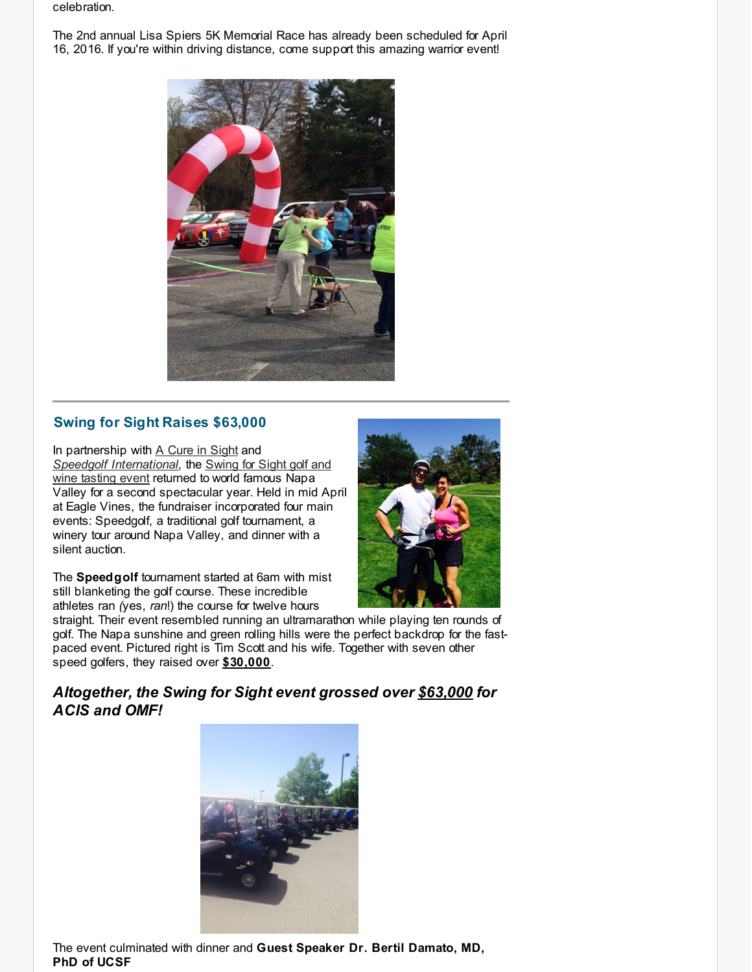celebration.

The 2nd annual Lisa Spiers 5K Memorial Race has already been scheduled for April 16, 2016. If you're within driving distance, come support this amazing warrior event!



## <span id="page-2-0"></span>**Swing for Sight Raises \$63,000**

In partnership with A Cure in [Sight](http://r20.rs6.net/tn.jsp?f=001qaNIAcOmnuK-n8u8fkI5cCpYQC__3Pbw-c4Q-lecow6ewdlphLLwiCXonZUheNqOK1LZtbj1rWCBkJCUUzE9dEcteE4XPgOza6Zap53DEEmM2qA2rMmgPcNSJjQiPhXQRhYgce9Q2Go82Hp_XXmssEs9Y_1rpfKG4rG10yHEPr5-gDnORZ06RNc9nXJQD6WT0dctLuoINaibSgvnRIC0Fi6BBJjHJY3pIvplBoOC5liZoYGpTj0u_J_YPmuAK02MABKFzmHLmwjTeG07c0hL2XVjMOROQdbIy7QFx06dQfD1OOU9L56t8g6p-h5-UbZ6eOqUnGuy8VNCA4RkbcKQHw==&c=&ch=) and *Speedgolf [Internationa](http://r20.rs6.net/tn.jsp?f=001qaNIAcOmnuK-n8u8fkI5cCpYQC__3Pbw-c4Q-lecow6ewdlphLLwiPSVLFZD5PvaxAvIYj2GwujlzHRY3Obn9gRfaSN6NtMt1vMmue0RPZs0txqJNdB6VbSmSAtZS1Gg2XqCwiq08MtqLYvcgcckrVAV7oxh8PgGOCLmBEhyc2nYhksdAl48PF4QKIwFKAxofSfd-Bpu1hRQ2mJfrnkIMQQQNtw5MjRTQTrs8I5Q3ZyuCuD488R67bEU0JDotCHEFBmb77cKU1yVoJXZTNIW9IajNZfhWL_29K_IgS63F87fsY8Y17PmZvDG_g_nfOyiM-CCIzMWBupYhA-JOOiUy7onAb0z-9B4&c=&ch=)[l](http://r20.rs6.net/tn.jsp?f=001qaNIAcOmnuK-n8u8fkI5cCpYQC__3Pbw-c4Q-lecow6ewdlphLLwiNa29_rpPAZMD1iCgmtrAI88iEt2oui2HKf47Nnq8hLFNlI8PlNQlBNb3lGIP40Paf-tQm-8p0jSMLAfczFg1QsuXqXxEM9xVfGngyrr7LbM_JmwBHLgJ72KlLDSbU3agM9eiuDlj4rWytDiRK0NeL2gPJTowlwHN7aBVlya_Kkj-h6A7I_p2aW48KsGuXvr74q6MgKBP7pLuo07m8uK_WewHJH9oCcReP55ZmNQtasNNMlJfCtwHUSVcQ2EiVdiE5ILacoZVOdwhmC9Y_q1Lejr4l7IvbetCUWeiJ68db3KiLb4x0DoF6rL8dUxnzCYcg==&c=&ch=)*, the Swing for Sight golf and wine tasting event returned to world famous Napa Valley for a second spectacular year. Held in mid April at Eagle Vines, the fundraiser incorporated four main events: Speedgolf, a traditional golf tournament, a winery tour around Napa Valley, and dinner with a silent auction.

The **Speedgolf** tournament started at 6am with mist still blanketing the golf course. These incredible athletes ran *(*yes, *ran*!) the course for twelve hours



straight. Their event resembled running an ultramarathon while playing ten rounds of golf. The Napa sunshine and green rolling hills were the perfect backdrop for the fastpaced event. Pictured right is Tim Scott and his wife. Together with seven other speed golfers, they raised over **\$30,000**.

## *Altogether, the Swing for Sight event grossed over \$63,000 for ACIS and OMF!*



The event culminated with dinner and **Guest Speaker Dr. Bertil Damato, MD, PhD of UCSF**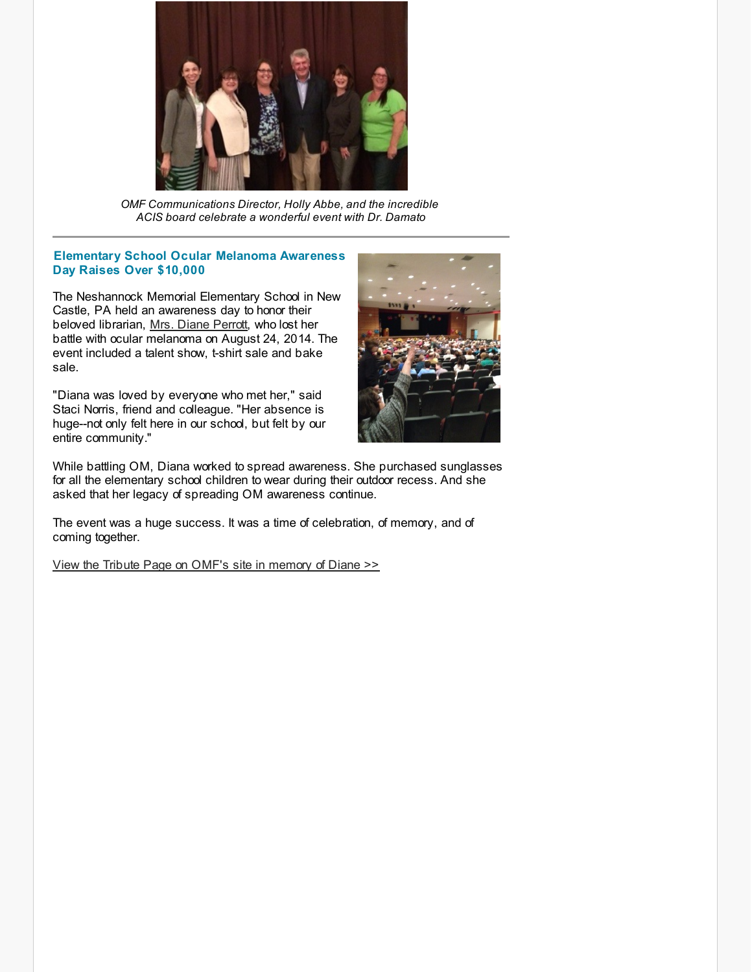

*OMF Communications Director, Holly Abbe, and the incredible ACIS board celebrate a wonderful event with Dr. Damato*

#### <span id="page-3-0"></span>**Elementary School Ocular Melanoma Awareness Day Raises Over \$10,000**

The Neshannock Memorial Elementary School in New Castle, PA held an awareness day to honor their beloved librarian, Mrs. Diane [Perrott](http://r20.rs6.net/tn.jsp?f=001qaNIAcOmnuK-n8u8fkI5cCpYQC__3Pbw-c4Q-lecow6ewdlphLLwiPSVLFZD5PvaazgtWbGnfVKw2S1Gr6vnaUKdDg-qaxUbokN2-CdFBQwzUW-meogtsq4-bs-5BnALLx0jr0vdLn9vVG8lf1D0lhBgsnGW5_ZPOvs8oY5GFe0xuoZgN2kIifBufPSbwEOhks7ZY6STZSAoAKzRkmEAkGzY7g0ZCYOCWQJOnDviJrNfe5z3bHFrDUr-FQYdpVcbSychr31Yx7I8ks_kJ6SpcVpSZ3rIP7O17ynSQg29lSAvdtp5XhHwqbaRhckWnWXFsdIvTko9udBoTc4V0zv_K8t_kmBfubepqtWPBcnxDHsgJFu8X1eC4w==&c=&ch=), who lost her battle with ocular melanoma on August 24, 2014. The event included a talent show, t-shirt sale and bake sale.

"Diana was loved by everyone who met her," said Staci Norris, friend and colleague. "Her absence is huge--not only felt here in our school, but felt by our entire community."



While battling OM, Diana worked to spread awareness. She purchased sunglasses for all the elementary school children to wear during their outdoor recess. And she asked that her legacy of spreading OM awareness continue.

The event was a huge success. It was a time of celebration, of memory, and of coming together.

View the Tribute Page on OMF's site in [memory](http://r20.rs6.net/tn.jsp?f=001qaNIAcOmnuK-n8u8fkI5cCpYQC__3Pbw-c4Q-lecow6ewdlphLLwiPSVLFZD5PvaazgtWbGnfVKw2S1Gr6vnaUKdDg-qaxUbokN2-CdFBQwzUW-meogtsq4-bs-5BnALLx0jr0vdLn9vVG8lf1D0lhBgsnGW5_ZPOvs8oY5GFe0xuoZgN2kIifBufPSbwEOhks7ZY6STZSAoAKzRkmEAkGzY7g0ZCYOCWQJOnDviJrNfe5z3bHFrDUr-FQYdpVcbSychr31Yx7I8ks_kJ6SpcVpSZ3rIP7O17ynSQg29lSAvdtp5XhHwqbaRhckWnWXFsdIvTko9udBoTc4V0zv_K8t_kmBfubepqtWPBcnxDHsgJFu8X1eC4w==&c=&ch=) of Diane >>